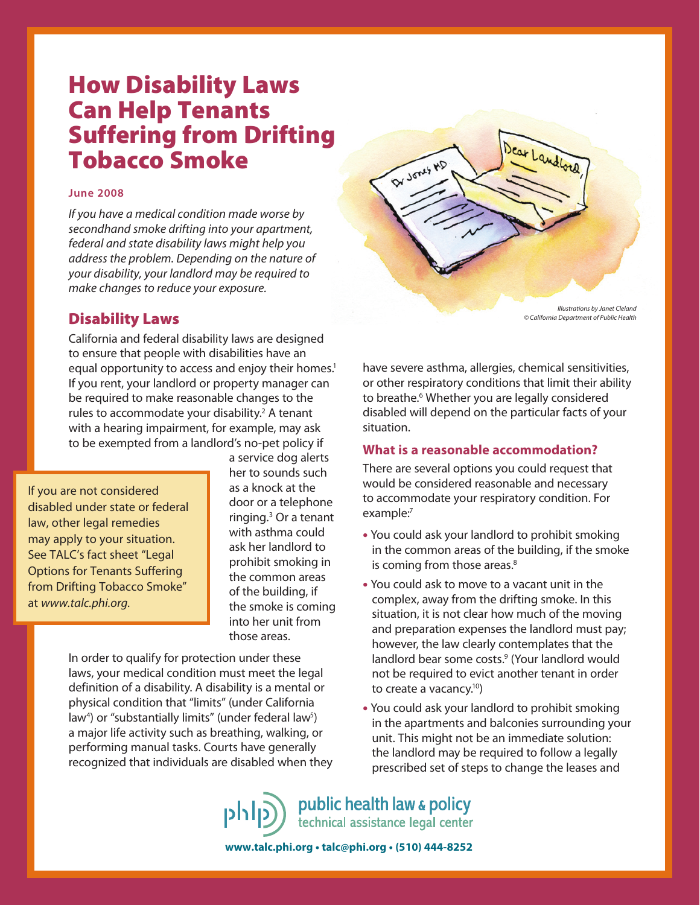# How Disability Laws Can Help Tenants Suffering from Drifting Tobacco Smoke

#### **June 2008**

If you have a medical condition made worse by secondhand smoke drifting into your apartment, federal and state disability laws might help you address the problem. Depending on the nature of your disability, your landlord may be required to make changes to reduce your exposure.

## Disability Laws

California and federal disability laws are designed to ensure that people with disabilities have an equal opportunity to access and enjoy their homes.<sup>1</sup> If you rent, your landlord or property manager can be required to make reasonable changes to the rules to accommodate your disability.<sup>2</sup> A tenant with a hearing impairment, for example, may ask to be exempted from a landlord's no-pet policy if

If you are not considered disabled under state or federal law, other legal remedies may apply to your situation. See TALC's fact sheet "Legal Options for Tenants Suffering from Drifting Tobacco Smoke" at www.talc.phi.org.

a service dog alerts her to sounds such as a knock at the door or a telephone ringing.3 Or a tenant with asthma could ask her landlord to prohibit smoking in the common areas of the building, if the smoke is coming into her unit from those areas.

In order to qualify for protection under these laws, your medical condition must meet the legal definition of a disability. A disability is a mental or physical condition that "limits" (under California law<sup>4</sup>) or "substantially limits" (under federal law<sup>5</sup>) a major life activity such as breathing, walking, or performing manual tasks. Courts have generally recognized that individuals are disabled when they

Dear Landlord DY JONES ND Illustrations by Janet Cleland

© California Department of Public Health

have severe asthma, allergies, chemical sensitivities, or other respiratory conditions that limit their ability to breathe.<sup>6</sup> Whether you are legally considered disabled will depend on the particular facts of your situation.

## **What is a reasonable accommodation?**

There are several options you could request that would be considered reasonable and necessary to accommodate your respiratory condition. For example:<sup>7</sup>

- You could ask your landlord to prohibit smoking in the common areas of the building, if the smoke is coming from those areas.<sup>8</sup>
- You could ask to move to a vacant unit in the complex, away from the drifting smoke. In this situation, it is not clear how much of the moving and preparation expenses the landlord must pay; however, the law clearly contemplates that the landlord bear some costs.<sup>9</sup> (Your landlord would not be required to evict another tenant in order to create a vacancy.10)
- You could ask your landlord to prohibit smoking in the apartments and balconies surrounding your unit. This might not be an immediate solution: the landlord may be required to follow a legally prescribed set of steps to change the leases and

public health law & policy טורוט technical assistance legal center

**www.talc.phi.org • talc@phi.org • (510) 444-8252**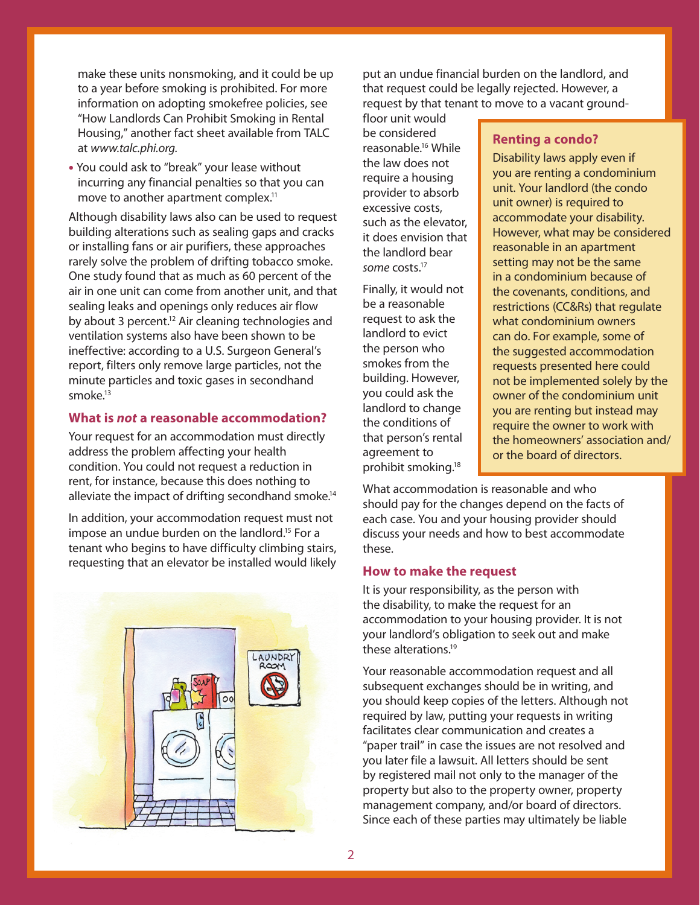make these units nonsmoking, and it could be up to a year before smoking is prohibited. For more information on adopting smokefree policies, see "How Landlords Can Prohibit Smoking in Rental Housing," another fact sheet available from TALC at www.talc.phi.org.

• You could ask to "break" your lease without incurring any financial penalties so that you can move to another apartment complex.<sup>11</sup>

Although disability laws also can be used to request building alterations such as sealing gaps and cracks or installing fans or air purifiers, these approaches rarely solve the problem of drifting tobacco smoke. One study found that as much as 60 percent of the air in one unit can come from another unit, and that sealing leaks and openings only reduces air flow by about 3 percent.<sup>12</sup> Air cleaning technologies and ventilation systems also have been shown to be ineffective: according to a U.S. Surgeon General's report, filters only remove large particles, not the minute particles and toxic gases in secondhand smoke.13

# **What is not a reasonable accommodation?**

Your request for an accommodation must directly address the problem affecting your health condition. You could not request a reduction in rent, for instance, because this does nothing to alleviate the impact of drifting secondhand smoke.<sup>14</sup>

In addition, your accommodation request must not impose an undue burden on the landlord.<sup>15</sup> For a tenant who begins to have difficulty climbing stairs, requesting that an elevator be installed would likely



put an undue financial burden on the landlord, and that request could be legally rejected. However, a request by that tenant to move to a vacant ground-

floor unit would be considered reasonable.16 While the law does not require a housing provider to absorb excessive costs, such as the elevator, it does envision that the landlord bear some costs.<sup>17</sup>

Finally, it would not be a reasonable request to ask the landlord to evict the person who smokes from the building. However, you could ask the landlord to change the conditions of that person's rental agreement to prohibit smoking.18

## **Renting a condo?**

Disability laws apply even if you are renting a condominium unit. Your landlord (the condo unit owner) is required to accommodate your disability. However, what may be considered reasonable in an apartment setting may not be the same in a condominium because of the covenants, conditions, and restrictions (CC&Rs) that regulate what condominium owners can do. For example, some of the suggested accommodation requests presented here could not be implemented solely by the owner of the condominium unit you are renting but instead may require the owner to work with the homeowners' association and/ or the board of directors.

What accommodation is reasonable and who should pay for the changes depend on the facts of each case. You and your housing provider should discuss your needs and how to best accommodate these.

## **How to make the request**

It is your responsibility, as the person with the disability, to make the request for an accommodation to your housing provider. It is not your landlord's obligation to seek out and make these alterations.19

Your reasonable accommodation request and all subsequent exchanges should be in writing, and you should keep copies of the letters. Although not required by law, putting your requests in writing facilitates clear communication and creates a "paper trail" in case the issues are not resolved and you later file a lawsuit. All letters should be sent by registered mail not only to the manager of the property but also to the property owner, property management company, and/or board of directors. Since each of these parties may ultimately be liable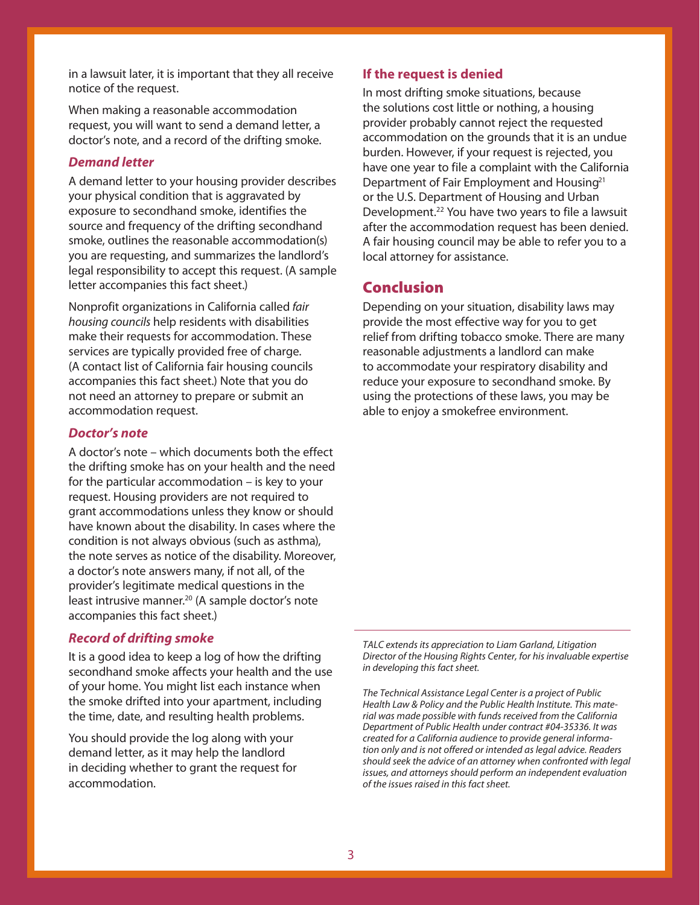in a lawsuit later, it is important that they all receive notice of the request.

When making a reasonable accommodation request, you will want to send a demand letter, a doctor's note, and a record of the drifting smoke.

## **Demand letter**

A demand letter to your housing provider describes your physical condition that is aggravated by exposure to secondhand smoke, identifies the source and frequency of the drifting secondhand smoke, outlines the reasonable accommodation(s) you are requesting, and summarizes the landlord's legal responsibility to accept this request. (A sample letter accompanies this fact sheet.)

Nonprofit organizations in California called fair housing councils help residents with disabilities make their requests for accommodation. These services are typically provided free of charge. (A contact list of California fair housing councils accompanies this fact sheet.) Note that you do not need an attorney to prepare or submit an accommodation request.

## **Doctor's note**

A doctor's note – which documents both the effect the drifting smoke has on your health and the need for the particular accommodation – is key to your request. Housing providers are not required to grant accommodations unless they know or should have known about the disability. In cases where the condition is not always obvious (such as asthma), the note serves as notice of the disability. Moreover, a doctor's note answers many, if not all, of the provider's legitimate medical questions in the least intrusive manner.<sup>20</sup> (A sample doctor's note accompanies this fact sheet.)

# **Record of drifting smoke**

It is a good idea to keep a log of how the drifting secondhand smoke affects your health and the use of your home. You might list each instance when the smoke drifted into your apartment, including the time, date, and resulting health problems.

You should provide the log along with your demand letter, as it may help the landlord in deciding whether to grant the request for accommodation.

## **If the request is denied**

In most drifting smoke situations, because the solutions cost little or nothing, a housing provider probably cannot reject the requested accommodation on the grounds that it is an undue burden. However, if your request is rejected, you have one year to file a complaint with the California Department of Fair Employment and Housing<sup>21</sup> or the U.S. Department of Housing and Urban Development.<sup>22</sup> You have two years to file a lawsuit after the accommodation request has been denied. A fair housing council may be able to refer you to a local attorney for assistance.

# Conclusion

Depending on your situation, disability laws may provide the most effective way for you to get relief from drifting tobacco smoke. There are many reasonable adjustments a landlord can make to accommodate your respiratory disability and reduce your exposure to secondhand smoke. By using the protections of these laws, you may be able to enjoy a smokefree environment.

TALC extends its appreciation to Liam Garland, Litigation Director of the Housing Rights Center, for his invaluable expertise in developing this fact sheet.

The Technical Assistance Legal Center is a project of Public Health Law & Policy and the Public Health Institute. This material was made possible with funds received from the California Department of Public Health under contract #04-35336. It was created for a California audience to provide general information only and is not offered or intended as legal advice. Readers should seek the advice of an attorney when confronted with legal issues, and attorneys should perform an independent evaluation of the issues raised in this fact sheet.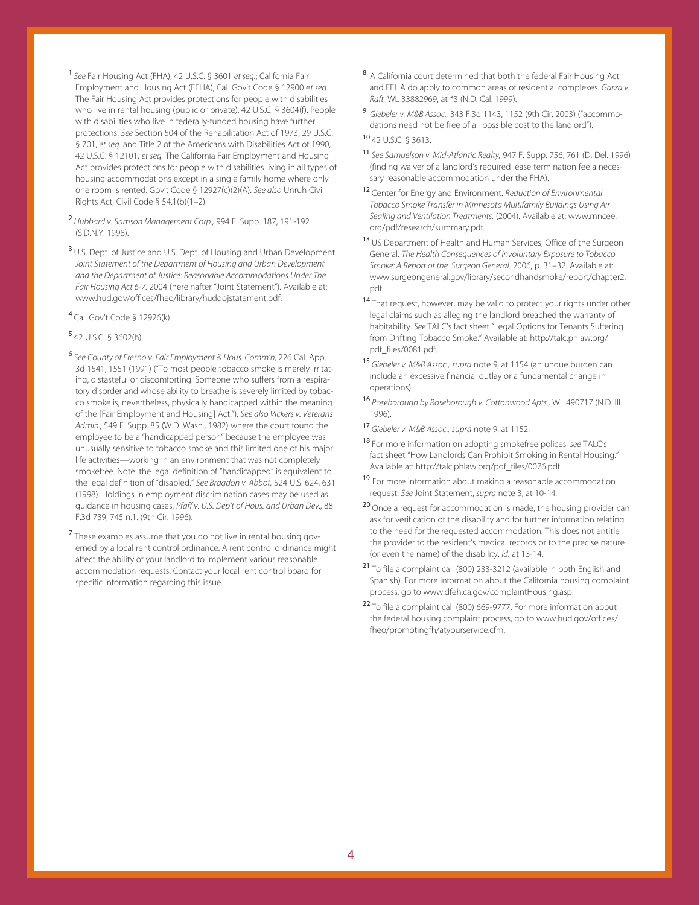<sup>1</sup> See Fair Housing Act (FHA), 42 U.S.C. § 3601 et seg.; California Fair Employment and Housing Act (FEHA), Cal. Gov't Code § 12900 et seq. The Fair Housing Act provides protections for people with disabilities who live in rental housing (public or private). 42 U.S.C. § 3604(f). People with disabilities who live in federally-funded housing have further protections. See Section 504 of the Rehabilitation Act of 1973, 29 U.S.C. § 701, et seq. and Title 2 of the Americans with Disabilities Act of 1990, 42 U.S.C. § 12101, et seq. The California Fair Employment and Housing Act provides protections for people with disabilities living in all types of housing accommodations except in a single family home where only one room is rented. Gov't Code § 12927(c)(2)(A). See also Unruh Civil Rights Act, Civil Code § 54.1(b)(1–2).

- <sup>2</sup>Hubbard v. Samson Management Corp., 994 F. Supp. 187, 191-192 (S.D.N.Y. 1998).
- <sup>3</sup> U.S. Dept. of Justice and U.S. Dept. of Housing and Urban Development. Joint Statement of the Department of Housing and Urban Development and the Department of Justice: Reasonable Accommodations Under The Fair Housing Act 6-7. 2004 (hereinafter "Joint Statement"). Available at: www.hud.gov/offices/fheo/library/huddojstatement.pdf.
- <sup>4</sup>Cal. Gov't Code § 12926(k).

## <sup>5</sup>42 U.S.C. § 3602(h).

- <sup>6</sup>See County of Fresno v. Fair Employment & Hous. Comm'n, 226 Cal. App. 3d 1541, 1551 (1991) ("To most people tobacco smoke is merely irritating, distasteful or discomforting. Someone who suffers from a respiratory disorder and whose ability to breathe is severely limited by tobacco smoke is, nevertheless, physically handicapped within the meaning of the [Fair Employment and Housing] Act."). See also Vickers v. Veterans Admin., 549 F. Supp. 85 (W.D. Wash., 1982) where the court found the employee to be a "handicapped person" because the employee was unusually sensitive to tobacco smoke and this limited one of his major life activities—working in an environment that was not completely smokefree. Note: the legal definition of "handicapped" is equivalent to the legal definition of "disabled." See Bragdon v. Abbot, 524 U.S. 624, 631 (1998). Holdings in employment discrimination cases may be used as guidance in housing cases. Pfaff v. U.S. Dep't of Hous. and Urban Dev., 88 F.3d 739, 745 n.1. (9th Cir. 1996).
- <sup>7</sup> These examples assume that you do not live in rental housing governed by a local rent control ordinance. A rent control ordinance might affect the ability of your landlord to implement various reasonable accommodation requests. Contact your local rent control board for specific information regarding this issue.
- 8 A California court determined that both the federal Fair Housing Act and FEHA do apply to common areas of residential complexes. Garza v. Raft, WL 33882969, at \*3 (N.D. Cal. 1999).
- <sup>9</sup>Giebeler v. M&B Assoc., 343 F.3d 1143, 1152 (9th Cir. 2003) ("accommodations need not be free of all possible cost to the landlord").

## <sup>10</sup>42 U.S.C. § 3613.

- 11 See Samuelson v. Mid-Atlantic Realty, 947 F. Supp. 756, 761 (D. Del. 1996) (finding waiver of a landlord's required lease termination fee a necessary reasonable accommodation under the FHA).
- <sup>12</sup> Center for Energy and Environment. Reduction of Environmental Tobacco Smoke Transfer in Minnesota Multifamily Buildings Using Air Sealing and Ventilation Treatments. (2004). Available at: www.mncee. org/pdf/research/summary.pdf.
- 13 US Department of Health and Human Services, Office of the Surgeon General. The Health Consequences of Involuntary Exposure to Tobacco Smoke: A Report of the Surgeon General. 2006, p. 31-32. Available at: www.surgeongeneral.gov/library/secondhandsmoke/report/chapter2. pdf.
- 14 That request, however, may be valid to protect your rights under other legal claims such as alleging the landlord breached the warranty of habitability. See TALC's fact sheet "Legal Options for Tenants Suffering from Drifting Tobacco Smoke." Available at: http://talc.phlaw.org/ pdf\_files/0081.pdf.
- 15 Giebeler v. M&B Assoc., supra note 9, at 1154 (an undue burden can include an excessive financial outlay or a fundamental change in operations).
- <sup>16</sup> Roseborough by Roseborough v. Cottonwood Apts., WL 490717 (N.D. Ill. 1996).
- 17 Giebeler v. M&B Assoc., supra note 9, at 1152.
- 18 For more information on adopting smokefree polices, see TALC's fact sheet "How Landlords Can Prohibit Smoking in Rental Housing." Available at: http://talc.phlaw.org/pdf\_files/0076.pdf.
- <sup>19</sup> For more information about making a reasonable accommodation request: See Joint Statement, supra note 3, at 10-14.
- <sup>20</sup> Once a request for accommodation is made, the housing provider can ask for verification of the disability and for further information relating to the need for the requested accommodation. This does not entitle the provider to the resident's medical records or to the precise nature (or even the name) of the disability. Id. at 13-14.
- <sup>21</sup>To file a complaint call (800) 233-3212 (available in both English and Spanish). For more information about the California housing complaint process, go to www.dfeh.ca.gov/complaintHousing.asp.
- <sup>22</sup> To file a complaint call (800) 669-9777. For more information about the federal housing complaint process, go to www.hud.gov/offices/ fheo/promotingfh/atyourservice.cfm.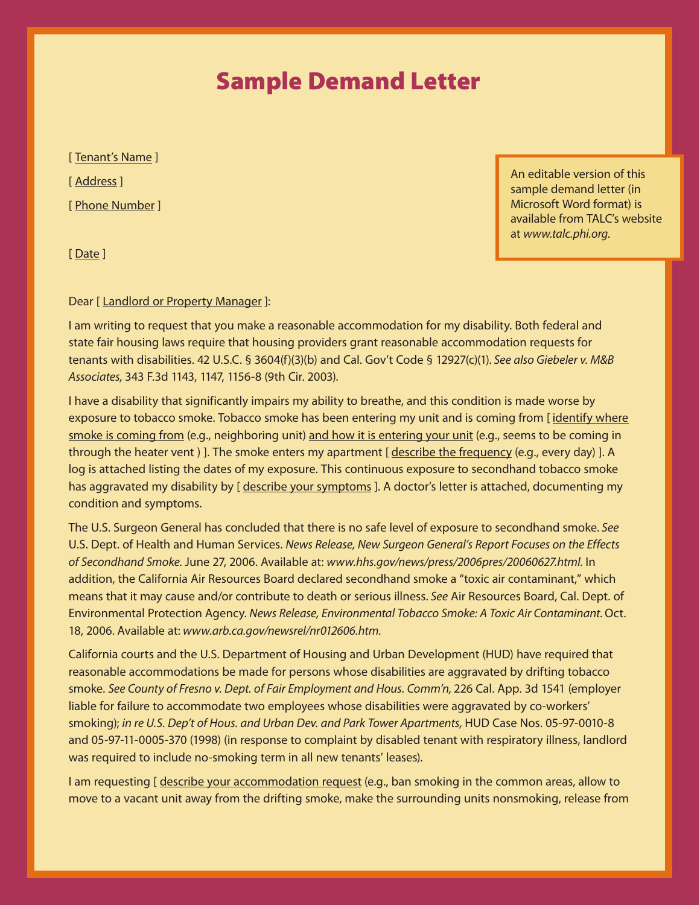# Sample Demand Letter

[ Tenant's Name ] [ Address ] [ Phone Number ]

An editable version of this sample demand letter (in Microsoft Word format) is available from TALC's website at www.talc.phi.org.

[ Date ]

### Dear [ Landlord or Property Manager ]:

I am writing to request that you make a reasonable accommodation for my disability. Both federal and state fair housing laws require that housing providers grant reasonable accommodation requests for tenants with disabilities. 42 U.S.C. § 3604(f)(3)(b) and Cal. Gov't Code § 12927(c)(1). See also Giebeler v. M&B Associates, 343 F.3d 1143, 1147, 1156-8 (9th Cir. 2003).

I have a disability that significantly impairs my ability to breathe, and this condition is made worse by exposure to tobacco smoke. Tobacco smoke has been entering my unit and is coming from [identify where smoke is coming from (e.g., neighboring unit) and how it is entering your unit (e.g., seems to be coming in through the heater vent ) ]. The smoke enters my apartment [describe the frequency (e.g., every day) ]. A log is attached listing the dates of my exposure. This continuous exposure to secondhand tobacco smoke has aggravated my disability by [ describe your symptoms ]. A doctor's letter is attached, documenting my condition and symptoms.

The U.S. Surgeon General has concluded that there is no safe level of exposure to secondhand smoke. See U.S. Dept. of Health and Human Services. News Release, New Surgeon General's Report Focuses on the Effects of Secondhand Smoke. June 27, 2006. Available at: www.hhs.gov/news/press/2006pres/20060627.html. In addition, the California Air Resources Board declared secondhand smoke a "toxic air contaminant," which means that it may cause and/or contribute to death or serious illness. See Air Resources Board, Cal. Dept. of Environmental Protection Agency. News Release, Environmental Tobacco Smoke: A Toxic Air Contaminant. Oct. 18, 2006. Available at: www.arb.ca.gov/newsrel/nr012606.htm.

California courts and the U.S. Department of Housing and Urban Development (HUD) have required that reasonable accommodations be made for persons whose disabilities are aggravated by drifting tobacco smoke. See County of Fresno v. Dept. of Fair Employment and Hous. Comm'n, 226 Cal. App. 3d 1541 (employer liable for failure to accommodate two employees whose disabilities were aggravated by co-workers' smoking); in re U.S. Dep't of Hous. and Urban Dev. and Park Tower Apartments, HUD Case Nos. 05-97-0010-8 and 05-97-11-0005-370 (1998) (in response to complaint by disabled tenant with respiratory illness, landlord was required to include no-smoking term in all new tenants' leases).

I am requesting [ describe your accommodation request (e.g., ban smoking in the common areas, allow to move to a vacant unit away from the drifting smoke, make the surrounding units nonsmoking, release from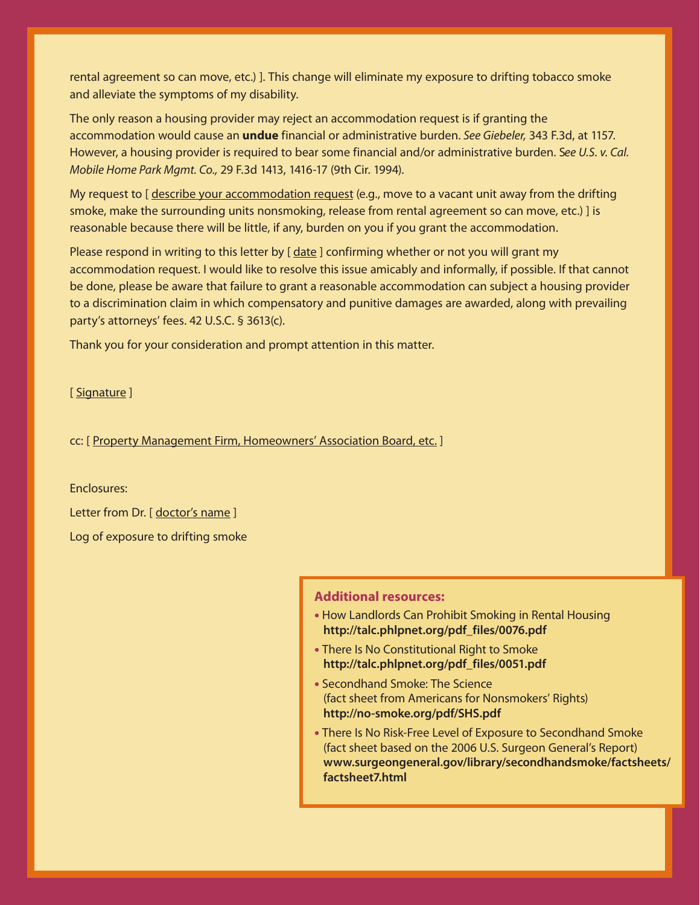rental agreement so can move, etc.) ]. This change will eliminate my exposure to drifting tobacco smoke and alleviate the symptoms of my disability.

The only reason a housing provider may reject an accommodation request is if granting the accommodation would cause an **undue** financial or administrative burden. See Giebeler, 343 F.3d, at 1157. However, a housing provider is required to bear some financial and/or administrative burden. See U.S. v. Cal. Mobile Home Park Mgmt. Co., 29 F.3d 1413, 1416-17 (9th Cir. 1994).

My request to [ describe your accommodation request (e.g., move to a vacant unit away from the drifting smoke, make the surrounding units nonsmoking, release from rental agreement so can move, etc.) ] is reasonable because there will be little, if any, burden on you if you grant the accommodation.

Please respond in writing to this letter by [date ] confirming whether or not you will grant my accommodation request. I would like to resolve this issue amicably and informally, if possible. If that cannot be done, please be aware that failure to grant a reasonable accommodation can subject a housing provider to a discrimination claim in which compensatory and punitive damages are awarded, along with prevailing party's attorneys' fees. 42 U.S.C. § 3613(c).

Thank you for your consideration and prompt attention in this matter.

[ Signature ]

cc: [ Property Management Firm, Homeowners' Association Board, etc.]

Enclosures:

Letter from Dr. [ doctor's name ] Log of exposure to drifting smoke

## **Additional resources:**

- How Landlords Can Prohibit Smoking in Rental Housing **http://talc.phlpnet.org/pdf\_files/0076.pdf**
- There Is No Constitutional Right to Smoke **http://talc.phlpnet.org/pdf\_files/0051.pdf**
- Secondhand Smoke: The Science (fact sheet from Americans for Nonsmokers' Rights) **http://no-smoke.org/pdf/SHS.pdf**
- There Is No Risk-Free Level of Exposure to Secondhand Smoke (fact sheet based on the 2006 U.S. Surgeon General's Report) **www.surgeongeneral.gov/library/secondhandsmoke/factsheets/ factsheet7.html**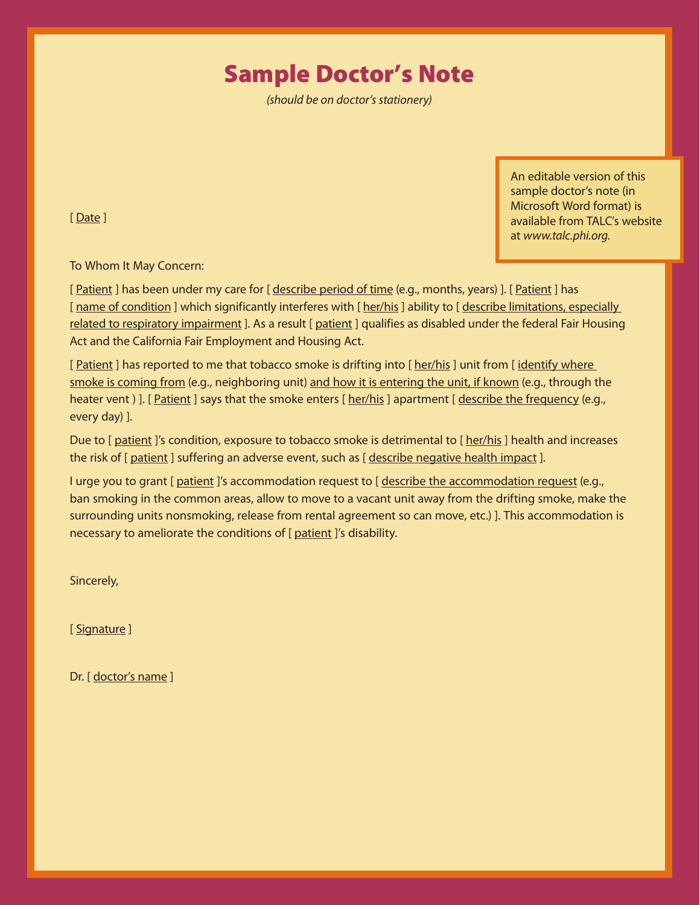# Sample Doctor's Note

(should be on doctor's stationery)

An editable version of this sample doctor's note (in Microsoft Word format) is available from TALC's website at www.talc.phi.org.

[ Date ]

To Whom It May Concern:

[ Patient ] has been under my care for [ describe period of time (e.g., months, years) ]. [ Patient ] has [ name of condition ] which significantly interferes with [ her/his ] ability to [ describe limitations, especially related to respiratory impairment ]. As a result [ patient ] qualifies as disabled under the federal Fair Housing Act and the California Fair Employment and Housing Act.

[ Patient ] has reported to me that tobacco smoke is drifting into [ her/his ] unit from [ identify where smoke is coming from (e.g., neighboring unit) and how it is entering the unit, if known (e.g., through the heater vent ) ]. [ Patient ] says that the smoke enters [ her/his ] apartment [ describe the frequency (e.g., every day) ].

Due to [ patient ]'s condition, exposure to tobacco smoke is detrimental to [ her/his ] health and increases the risk of [ patient ] suffering an adverse event, such as [ describe negative health impact ].

I urge you to grant [ patient ]'s accommodation request to [ describe the accommodation request (e.g., ban smoking in the common areas, allow to move to a vacant unit away from the drifting smoke, make the surrounding units nonsmoking, release from rental agreement so can move, etc.) ]. This accommodation is necessary to ameliorate the conditions of [ patient ]'s disability.

Sincerely,

[ Signature ]

Dr. [ doctor's name ]